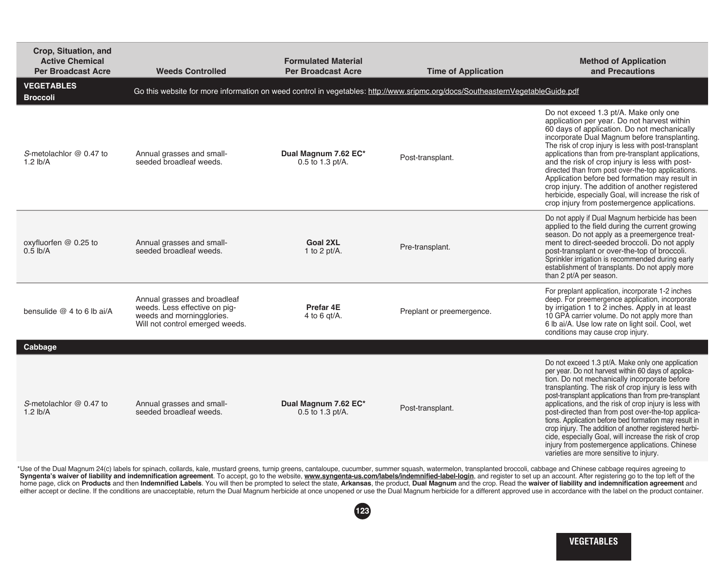| Crop, Situation, and<br><b>Active Chemical</b><br><b>Per Broadcast Acre</b> | <b>Weeds Controlled</b>                                                                                                       | <b>Formulated Material</b><br><b>Per Broadcast Acre</b> | <b>Time of Application</b>                                                                                                    | <b>Method of Application</b><br>and Precautions                                                                                                                                                                                                                                                                                                                                                                                                                                                                                                                                                                                                                    |
|-----------------------------------------------------------------------------|-------------------------------------------------------------------------------------------------------------------------------|---------------------------------------------------------|-------------------------------------------------------------------------------------------------------------------------------|--------------------------------------------------------------------------------------------------------------------------------------------------------------------------------------------------------------------------------------------------------------------------------------------------------------------------------------------------------------------------------------------------------------------------------------------------------------------------------------------------------------------------------------------------------------------------------------------------------------------------------------------------------------------|
| <b>VEGETABLES</b><br><b>Broccoli</b>                                        |                                                                                                                               |                                                         | Go this website for more information on weed control in vegetables: http://www.sripmc.org/docs/SoutheasternVegetableGuide.pdf |                                                                                                                                                                                                                                                                                                                                                                                                                                                                                                                                                                                                                                                                    |
| S-metolachlor @ 0.47 to<br>$1.2$ lb/A                                       | Annual grasses and small-<br>seeded broadleaf weeds.                                                                          | Dual Magnum 7.62 EC*<br>0.5 to 1.3 pt/A.                | Post-transplant.                                                                                                              | Do not exceed 1.3 pt/A. Make only one<br>application per year. Do not harvest within<br>60 days of application. Do not mechanically<br>incorporate Dual Magnum before transplanting.<br>The risk of crop injury is less with post-transplant<br>applications than from pre-transplant applications,<br>and the risk of crop injury is less with post-<br>directed than from post over-the-top applications.<br>Application before bed formation may result in<br>crop injury. The addition of another registered<br>herbicide, especially Goal, will increase the risk of<br>crop injury from postemergence applications.                                          |
| oxyfluorfen @ 0.25 to<br>$0.5$ lb/A                                         | Annual grasses and small-<br>seeded broadleaf weeds.                                                                          | <b>Goal 2XL</b><br>1 to 2 $pt/A$ .                      | Pre-transplant.                                                                                                               | Do not apply if Dual Magnum herbicide has been<br>applied to the field during the current growing<br>season. Do not apply as a preemergence treat-<br>ment to direct-seeded broccoli. Do not apply<br>post-transplant or over-the-top of broccoli.<br>Sprinkler irrigation is recommended during early<br>establishment of transplants. Do not apply more<br>than 2 pt/A per season.                                                                                                                                                                                                                                                                               |
| bensulide $@$ 4 to 6 lb ai/A                                                | Annual grasses and broadleaf<br>weeds. Less effective on pig-<br>weeds and morningglories.<br>Will not control emerged weeds. | Prefar 4E<br>4 to 6 gt/A.                               | Preplant or preemergence.                                                                                                     | For preplant application, incorporate 1-2 inches<br>deep. For preemergence application, incorporate<br>by irrigation 1 to 2 inches. Apply in at least<br>10 GPA carrier volume. Do not apply more than<br>6 lb ai/A. Use low rate on light soil. Cool, wet<br>conditions may cause crop injury.                                                                                                                                                                                                                                                                                                                                                                    |
| Cabbage                                                                     |                                                                                                                               |                                                         |                                                                                                                               |                                                                                                                                                                                                                                                                                                                                                                                                                                                                                                                                                                                                                                                                    |
| S-metolachlor @ 0.47 to<br>$1.2$ lb/A                                       | Annual grasses and small-<br>seeded broadleaf weeds.                                                                          | Dual Magnum 7.62 EC*<br>0.5 to 1.3 pt/A.                | Post-transplant.                                                                                                              | Do not exceed 1.3 pt/A. Make only one application<br>per year. Do not harvest within 60 days of applica-<br>tion. Do not mechanically incorporate before<br>transplanting. The risk of crop injury is less with<br>post-transplant applications than from pre-transplant<br>applications, and the risk of crop injury is less with<br>post-directed than from post over-the-top applica-<br>tions. Application before bed formation may result in<br>crop injury. The addition of another registered herbi-<br>cide, especially Goal, will increase the risk of crop<br>injury from postemergence applications. Chinese<br>varieties are more sensitive to injury. |

\* Use of the Dual Magnum 24(c) labels for spinach, collards, kale, mustard greens, turnip greens, cantaloupe, cucumber, summer squash, watermelon, transplanted broccoli, cabbage and Chinese cabbage requires agreeing to Syngenta's waiver of liability and indemnification agreement. To accept, go to the website, <u>www.syngenta-us.com/labels/indemnified-label-login</u>, and register to set up an account. After registering go to the top left of t home page, click on **Products** and then I**ndemnified Labels**. You will then be prompted to select the state, **Arkansas**, the product, **Dual Magnum** and the crop. Read the **waiver of liability and indemnification agreement** 

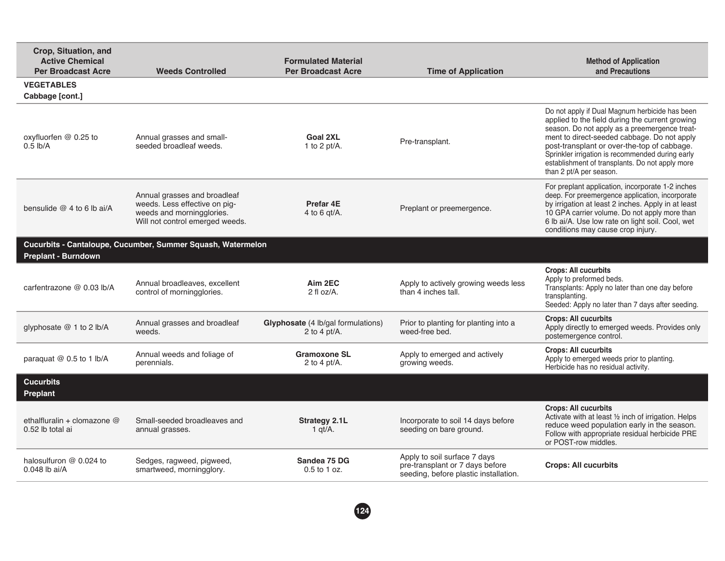| Crop, Situation, and<br><b>Active Chemical</b><br><b>Per Broadcast Acre</b> | <b>Weeds Controlled</b>                                                                                                       | <b>Formulated Material</b><br><b>Per Broadcast Acre</b> | <b>Time of Application</b>                                                                               | <b>Method of Application</b><br>and Precautions                                                                                                                                                                                                                                                                                                                                    |
|-----------------------------------------------------------------------------|-------------------------------------------------------------------------------------------------------------------------------|---------------------------------------------------------|----------------------------------------------------------------------------------------------------------|------------------------------------------------------------------------------------------------------------------------------------------------------------------------------------------------------------------------------------------------------------------------------------------------------------------------------------------------------------------------------------|
| <b>VEGETABLES</b><br>Cabbage [cont.]                                        |                                                                                                                               |                                                         |                                                                                                          |                                                                                                                                                                                                                                                                                                                                                                                    |
| oxyfluorfen @ 0.25 to<br>$0.5$ lb/A                                         | Annual grasses and small-<br>seeded broadleaf weeds.                                                                          | Goal 2XL<br>1 to 2 $pt/A$ .                             | Pre-transplant.                                                                                          | Do not apply if Dual Magnum herbicide has been<br>applied to the field during the current growing<br>season. Do not apply as a preemergence treat-<br>ment to direct-seeded cabbage. Do not apply<br>post-transplant or over-the-top of cabbage.<br>Sprinkler irrigation is recommended during early<br>establishment of transplants. Do not apply more<br>than 2 pt/A per season. |
| bensulide $@4$ to 6 lb ai/A                                                 | Annual grasses and broadleaf<br>weeds. Less effective on pig-<br>weeds and morningglories.<br>Will not control emerged weeds. | Prefar 4E<br>4 to 6 $gt/A$ .                            | Preplant or preemergence.                                                                                | For preplant application, incorporate 1-2 inches<br>deep. For preemergence application, incorporate<br>by irrigation at least 2 inches. Apply in at least<br>10 GPA carrier volume. Do not apply more than<br>6 lb ai/A. Use low rate on light soil. Cool, wet<br>conditions may cause crop injury.                                                                                |
| <b>Preplant - Burndown</b>                                                  | Cucurbits - Cantaloupe, Cucumber, Summer Squash, Watermelon                                                                   |                                                         |                                                                                                          |                                                                                                                                                                                                                                                                                                                                                                                    |
| carfentrazone @ 0.03 lb/A                                                   | Annual broadleaves, excellent<br>control of morningglories.                                                                   | Aim 2EC<br>$2$ fl oz/A.                                 | Apply to actively growing weeds less<br>than 4 inches tall.                                              | <b>Crops: All cucurbits</b><br>Apply to preformed beds.<br>Transplants: Apply no later than one day before<br>transplanting.<br>Seeded: Apply no later than 7 days after seeding.                                                                                                                                                                                                  |
| glyphosate @ 1 to 2 lb/A                                                    | Annual grasses and broadleaf<br>weeds.                                                                                        | Glyphosate (4 lb/gal formulations)<br>2 to 4 pt/A.      | Prior to planting for planting into a<br>weed-free bed.                                                  | <b>Crops: All cucurbits</b><br>Apply directly to emerged weeds. Provides only<br>postemergence control.                                                                                                                                                                                                                                                                            |
| paraquat @ 0.5 to 1 lb/A                                                    | Annual weeds and foliage of<br>perennials.                                                                                    | <b>Gramoxone SL</b><br>2 to 4 pt/A.                     | Apply to emerged and actively<br>growing weeds.                                                          | <b>Crops: All cucurbits</b><br>Apply to emerged weeds prior to planting.<br>Herbicide has no residual activity.                                                                                                                                                                                                                                                                    |
| <b>Cucurbits</b><br>Preplant                                                |                                                                                                                               |                                                         |                                                                                                          |                                                                                                                                                                                                                                                                                                                                                                                    |
| ethalfluralin + clomazone @<br>0.52 lb total ai                             | Small-seeded broadleaves and<br>annual grasses.                                                                               | <b>Strategy 2.1L</b><br>1 $qt/A$ .                      | Incorporate to soil 14 days before<br>seeding on bare ground.                                            | <b>Crops: All cucurbits</b><br>Activate with at least 1/2 inch of irrigation. Helps<br>reduce weed population early in the season.<br>Follow with appropriate residual herbicide PRE<br>or POST-row middles.                                                                                                                                                                       |
| halosulfuron $@$ 0.024 to<br>$0.048$ lb ai/A                                | Sedges, ragweed, pigweed,<br>smartweed, morningglory.                                                                         | Sandea 75 DG<br>0.5 to 1 oz.                            | Apply to soil surface 7 days<br>pre-transplant or 7 days before<br>seeding, before plastic installation. | <b>Crops: All cucurbits</b>                                                                                                                                                                                                                                                                                                                                                        |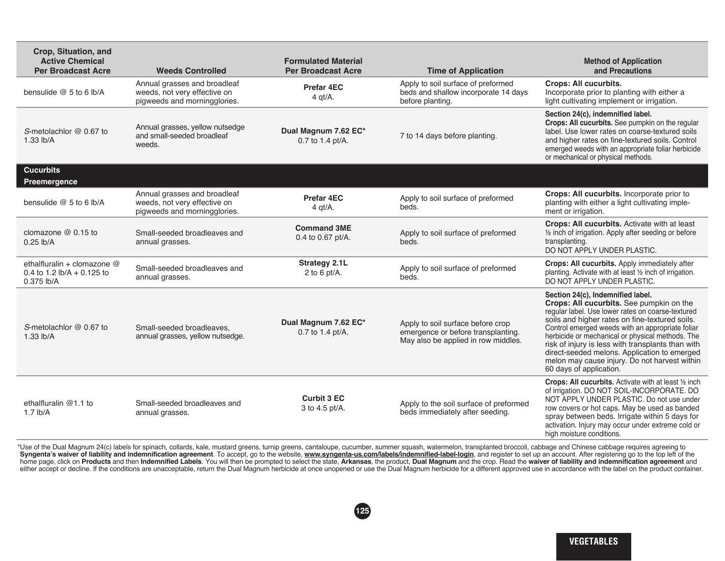| Crop, Situation, and<br><b>Active Chemical</b><br><b>Per Broadcast Acre</b>                    | <b>Weeds Controlled</b>                                                                      | <b>Formulated Material</b><br><b>Per Broadcast Acre</b> | <b>Time of Application</b>                                                                                     | <b>Method of Application</b><br>and Precautions                                                                                                                                                                                                                                                                                                                                                                                                                               |
|------------------------------------------------------------------------------------------------|----------------------------------------------------------------------------------------------|---------------------------------------------------------|----------------------------------------------------------------------------------------------------------------|-------------------------------------------------------------------------------------------------------------------------------------------------------------------------------------------------------------------------------------------------------------------------------------------------------------------------------------------------------------------------------------------------------------------------------------------------------------------------------|
| bensulide $@5$ to 6 lb/A                                                                       | Annual grasses and broadleaf<br>weeds, not very effective on<br>pigweeds and morningglories. | Prefar 4EC<br>$4$ qt/A.                                 | Apply to soil surface of preformed<br>beds and shallow incorporate 14 days<br>before planting.                 | Crops: All cucurbits.<br>Incorporate prior to planting with either a<br>light cultivating implement or irrigation.                                                                                                                                                                                                                                                                                                                                                            |
| S-metolachlor @ 0.67 to<br>$1.33$ lb/A                                                         | Annual grasses, yellow nutsedge<br>and small-seeded broadleaf<br>weeds.                      | Dual Magnum 7.62 EC*<br>0.7 to 1.4 pt/A.                | 7 to 14 days before planting.                                                                                  | Section 24(c), indemnified label.<br>Crops: All cucurbits. See pumpkin on the regular<br>label. Use lower rates on coarse-textured soils<br>and higher rates on fine-textured soils. Control<br>emerged weeds with an appropriate foliar herbicide<br>or mechanical or physical methods.                                                                                                                                                                                      |
| <b>Cucurbits</b><br>Preemergence                                                               |                                                                                              |                                                         |                                                                                                                |                                                                                                                                                                                                                                                                                                                                                                                                                                                                               |
| bensulide $@5$ to 6 lb/A                                                                       | Annual grasses and broadleaf<br>weeds, not very effective on<br>pigweeds and morningglories. | Prefar 4EC<br>$4$ qt/A.                                 | Apply to soil surface of preformed<br>beds.                                                                    | Crops: All cucurbits. Incorporate prior to<br>planting with either a light cultivating imple-<br>ment or irrigation.                                                                                                                                                                                                                                                                                                                                                          |
| clomazone $@0.15$ to<br>$0.25$ lb/A                                                            | Small-seeded broadleaves and<br>annual grasses.                                              | <b>Command 3ME</b><br>0.4 to 0.67 pt/A.                 | Apply to soil surface of preformed<br>beds.                                                                    | Crops: All cucurbits. Activate with at least<br>1/2 inch of irrigation. Apply after seeding or before<br>transplanting.<br>DO NOT APPLY UNDER PLASTIC.                                                                                                                                                                                                                                                                                                                        |
| ethalfluralin + clomazone @<br>0.4 to 1.2 $\frac{1}{2}$ $\frac{1}{2}$ + 0.125 to<br>0.375 lb/A | Small-seeded broadleaves and<br>annual grasses.                                              | <b>Strategy 2.1L</b><br>2 to 6 pt/A.                    | Apply to soil surface of preformed<br>beds.                                                                    | Crops: All cucurbits. Apply immediately after<br>planting. Activate with at least 1/2 inch of irrigation.<br>DO NOT APPLY UNDER PLASTIC.                                                                                                                                                                                                                                                                                                                                      |
| S-metolachlor $@0.67$ to<br>1.33 lb/A                                                          | Small-seeded broadleaves,<br>annual grasses, yellow nutsedge.                                | Dual Magnum 7.62 EC*<br>0.7 to 1.4 pt/A.                | Apply to soil surface before crop<br>emergence or before transplanting.<br>May also be applied in row middles. | Section 24(c), Indemnified label.<br>Crops: All cucurbits. See pumpkin on the<br>regular label. Use lower rates on coarse-textured<br>soils and higher rates on fine-textured soils.<br>Control emerged weeds with an appropriate foliar<br>herbicide or mechanical or physical methods. The<br>risk of injury is less with transplants than with<br>direct-seeded melons. Application to emerged<br>melon may cause injury. Do not harvest within<br>60 days of application. |
| ethalfluralin @1.1 to<br>$1.7$ lb/A                                                            | Small-seeded broadleaves and<br>annual grasses.                                              | <b>Curbit 3 EC</b><br>3 to 4.5 pt/A.                    | Apply to the soil surface of preformed<br>beds immediately after seeding.                                      | Crops: All cucurbits. Activate with at least 1/2 inch<br>of irrigation. DO NOT SOIL-INCORPORATE. DO<br>NOT APPLY UNDER PLASTIC. Do not use under<br>row covers or hot caps. May be used as banded<br>spray between beds. Irrigate within 5 days for<br>activation. Injury may occur under extreme cold or<br>high moisture conditions.                                                                                                                                        |

\* Use of the Dual Magnum 24(c) labels for spinach, collards, kale, mustard greens, turnip greens, cantaloupe, cucumber, summer squash, watermelon, transplanted broccoli, cabbage and Chinese cabbage requires agreeing to Syngenta's waiver of liability and indemnification agreement. To accept, go to the website, www.syngenta-us.com/labels/indemnified-label-login, and register to set up an account. After registering go to the top left of the home page, click on Products and then Indemnified Labels. You will then be prompted to select the state, Arkansas, the product, Dual Magnum and the crop. Read the waiver of liability and indemnification agreement and either accept or decline. If the conditions are unacceptable, return the Dual Magnum herbicide at once unopened or use the Dual Magnum herbicide for a different approved use in accordance with the label on the product cont

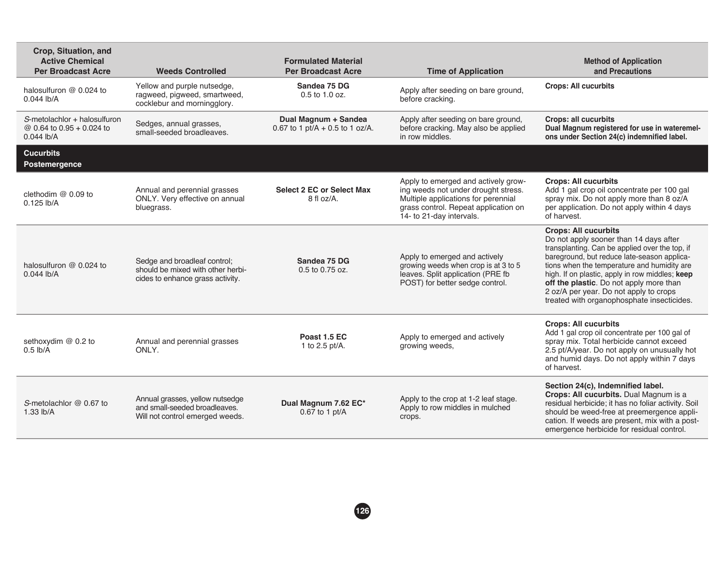| Crop, Situation, and<br><b>Active Chemical</b><br><b>Per Broadcast Acre</b> | <b>Weeds Controlled</b>                                                                               | <b>Formulated Material</b><br><b>Per Broadcast Acre</b> | <b>Time of Application</b>                                                                                                                                                            | <b>Method of Application</b><br>and Precautions                                                                                                                                                                                                                                                                                                                                                             |
|-----------------------------------------------------------------------------|-------------------------------------------------------------------------------------------------------|---------------------------------------------------------|---------------------------------------------------------------------------------------------------------------------------------------------------------------------------------------|-------------------------------------------------------------------------------------------------------------------------------------------------------------------------------------------------------------------------------------------------------------------------------------------------------------------------------------------------------------------------------------------------------------|
| halosulfuron @ 0.024 to<br>$0.044$ lb/A                                     | Yellow and purple nutsedge,<br>ragweed, pigweed, smartweed,<br>cocklebur and morningglory.            | Sandea 75 DG<br>0.5 to 1.0 oz.                          | Apply after seeding on bare ground,<br>before cracking.                                                                                                                               | <b>Crops: All cucurbits</b>                                                                                                                                                                                                                                                                                                                                                                                 |
| S-metolachlor + halosulfuron<br>@ 0.64 to 0.95 + 0.024 to<br>$0.044$ lb/A   | Sedges, annual grasses,<br>small-seeded broadleaves.                                                  | Dual Magnum + Sandea<br>0.67 to 1 pt/A + 0.5 to 1 oz/A. | Apply after seeding on bare ground,<br>before cracking. May also be applied<br>in row middles.                                                                                        | <b>Crops: all cucurbits</b><br>Dual Magnum registered for use in wateremel-<br>ons under Section 24(c) indemnified label.                                                                                                                                                                                                                                                                                   |
| <b>Cucurbits</b><br>Postemergence                                           |                                                                                                       |                                                         |                                                                                                                                                                                       |                                                                                                                                                                                                                                                                                                                                                                                                             |
| clethodim $@$ 0.09 to<br>$0.125$ lb/A                                       | Annual and perennial grasses<br>ONLY. Very effective on annual<br>bluegrass.                          | <b>Select 2 EC or Select Max</b><br>$8$ fl oz/A.        | Apply to emerged and actively grow-<br>ing weeds not under drought stress.<br>Multiple applications for perennial<br>grass control. Repeat application on<br>14- to 21-day intervals. | <b>Crops: All cucurbits</b><br>Add 1 gal crop oil concentrate per 100 gal<br>spray mix. Do not apply more than 8 oz/A<br>per application. Do not apply within 4 days<br>of harvest.                                                                                                                                                                                                                         |
| halosulfuron @ 0.024 to<br>$0.044$ lb/A                                     | Sedge and broadleaf control;<br>should be mixed with other herbi-<br>cides to enhance grass activity. | Sandea 75 DG<br>0.5 to 0.75 oz.                         | Apply to emerged and actively<br>growing weeds when crop is at 3 to 5<br>leaves. Split application (PRE fb<br>POST) for better sedge control.                                         | <b>Crops: All cucurbits</b><br>Do not apply sooner than 14 days after<br>transplanting. Can be applied over the top, if<br>bareground, but reduce late-season applica-<br>tions when the temperature and humidity are<br>high. If on plastic, apply in row middles; keep<br>off the plastic. Do not apply more than<br>2 oz/A per year. Do not apply to crops<br>treated with organophosphate insecticides. |
| sethoxydim @ 0.2 to<br>$0.5$ lb/A                                           | Annual and perennial grasses<br>ONLY.                                                                 | Poast 1.5 EC<br>1 to 2.5 pt/A.                          | Apply to emerged and actively<br>growing weeds,                                                                                                                                       | <b>Crops: All cucurbits</b><br>Add 1 gal crop oil concentrate per 100 gal of<br>spray mix. Total herbicide cannot exceed<br>2.5 pt/A/year. Do not apply on unusually hot<br>and humid days. Do not apply within 7 days<br>of harvest.                                                                                                                                                                       |
| S-metolachlor @ 0.67 to<br>$1.33$ lb/A                                      | Annual grasses, yellow nutsedge<br>and small-seeded broadleaves.<br>Will not control emerged weeds.   | Dual Magnum 7.62 EC*<br>0.67 to 1 pt/A                  | Apply to the crop at 1-2 leaf stage.<br>Apply to row middles in mulched<br>crops.                                                                                                     | Section 24(c), Indemnified label.<br>Crops: All cucurbits. Dual Magnum is a<br>residual herbicide; it has no foliar activity. Soil<br>should be weed-free at preemergence appli-<br>cation. If weeds are present, mix with a post-<br>emergence herbicide for residual control.                                                                                                                             |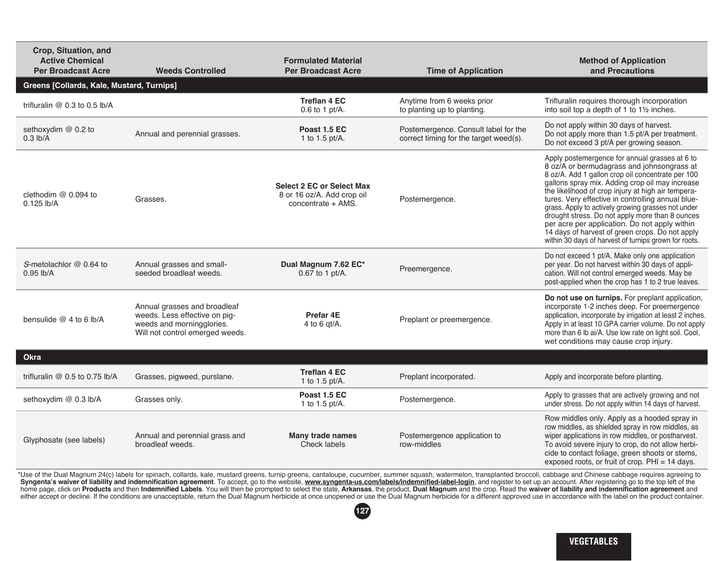| Crop, Situation, and<br><b>Active Chemical</b><br><b>Per Broadcast Acre</b> | <b>Weeds Controlled</b>                                                                                                       | <b>Formulated Material</b><br><b>Per Broadcast Acre</b>                              | <b>Time of Application</b>                                                     | <b>Method of Application</b><br>and Precautions                                                                                                                                                                                                                                                                                                                                                                                                                                                                                                                                       |
|-----------------------------------------------------------------------------|-------------------------------------------------------------------------------------------------------------------------------|--------------------------------------------------------------------------------------|--------------------------------------------------------------------------------|---------------------------------------------------------------------------------------------------------------------------------------------------------------------------------------------------------------------------------------------------------------------------------------------------------------------------------------------------------------------------------------------------------------------------------------------------------------------------------------------------------------------------------------------------------------------------------------|
| Greens [Collards, Kale, Mustard, Turnips]                                   |                                                                                                                               |                                                                                      |                                                                                |                                                                                                                                                                                                                                                                                                                                                                                                                                                                                                                                                                                       |
| trifluralin $@$ 0.3 to 0.5 lb/A                                             |                                                                                                                               | <b>Treflan 4 EC</b><br>$0.6$ to 1 pt/A.                                              | Anytime from 6 weeks prior<br>to planting up to planting.                      | Trifluralin requires thorough incorporation<br>into soil top a depth of 1 to 11/2 inches.                                                                                                                                                                                                                                                                                                                                                                                                                                                                                             |
| sethoxydim @ 0.2 to<br>$0.3$ lb/A                                           | Annual and perennial grasses.                                                                                                 | Poast 1.5 EC<br>1 to 1.5 pt/A.                                                       | Postemergence. Consult label for the<br>correct timing for the target weed(s). | Do not apply within 30 days of harvest.<br>Do not apply more than 1.5 pt/A per treatment.<br>Do not exceed 3 pt/A per growing season.                                                                                                                                                                                                                                                                                                                                                                                                                                                 |
| clethodim @ 0.094 to<br>$0.125$ lb/A                                        | Grasses.                                                                                                                      | <b>Select 2 EC or Select Max</b><br>8 or 16 oz/A. Add crop oil<br>concentrate + AMS. | Postemergence.                                                                 | Apply postemergence for annual grasses at 6 to<br>8 oz/A or bermudagrass and johnsongrass at<br>8 oz/A. Add 1 gallon crop oil concentrate per 100<br>gallons spray mix. Adding crop oil may increase<br>the likelihood of crop injury at high air tempera-<br>tures. Very effective in controlling annual blue-<br>grass. Apply to actively growing grasses not under<br>drought stress. Do not apply more than 8 ounces<br>per acre per application. Do not apply within<br>14 days of harvest of green crops. Do not apply<br>within 30 days of harvest of turnips grown for roots. |
| S-metolachlor @ 0.64 to<br>$0.95$ lb/A                                      | Annual grasses and small-<br>seeded broadleaf weeds.                                                                          | Dual Magnum 7.62 EC*<br>0.67 to 1 pt/A.                                              | Preemergence.                                                                  | Do not exceed 1 pt/A. Make only one application<br>per year. Do not harvest within 30 days of appli-<br>cation. Will not control emerged weeds. May be<br>post-applied when the crop has 1 to 2 true leaves.                                                                                                                                                                                                                                                                                                                                                                          |
| bensulide @ 4 to 6 lb/A                                                     | Annual grasses and broadleaf<br>weeds. Less effective on pig-<br>weeds and morningglories.<br>Will not control emerged weeds. | Prefar 4E<br>4 to 6 $qt/A$ .                                                         | Preplant or preemergence.                                                      | Do not use on turnips. For preplant application,<br>incorporate 1-2 inches deep. For preemergence<br>application, incorporate by irrigation at least 2 inches.<br>Apply in at least 10 GPA carrier volume. Do not apply<br>more than 6 lb ai/A. Use low rate on light soil. Cool,<br>wet conditions may cause crop injury.                                                                                                                                                                                                                                                            |
| <b>Okra</b>                                                                 |                                                                                                                               |                                                                                      |                                                                                |                                                                                                                                                                                                                                                                                                                                                                                                                                                                                                                                                                                       |
| trifluralin @ 0.5 to 0.75 lb/A                                              | Grasses, pigweed, purslane.                                                                                                   | <b>Treflan 4 EC</b><br>1 to 1.5 pt/A.                                                | Preplant incorporated.                                                         | Apply and incorporate before planting.                                                                                                                                                                                                                                                                                                                                                                                                                                                                                                                                                |
| sethoxydim @ 0.3 lb/A                                                       | Grasses only.                                                                                                                 | Poast 1.5 EC<br>1 to 1.5 pt/A.                                                       | Postemergence.                                                                 | Apply to grasses that are actively growing and not<br>under stress. Do not apply within 14 days of harvest.                                                                                                                                                                                                                                                                                                                                                                                                                                                                           |
| Glyphosate (see labels)                                                     | Annual and perennial grass and<br>broadleaf weeds.                                                                            | Many trade names<br>Check labels                                                     | Postemergence application to<br>row-middles                                    | Row middles only. Apply as a hooded spray in<br>row middles, as shielded spray in row middles, as<br>wiper applications in row middles, or postharvest.<br>To avoid severe injury to crop, do not allow herbi-<br>cide to contact foliage, green shoots or stems,<br>exposed roots, or fruit of crop. $PHI = 14$ days.                                                                                                                                                                                                                                                                |

\* Use of the Dual Magnum 24(c) labels for spinach, collards, kale, mustard greens, turnip greens, cantaloupe, cucumber, summer squash, watermelon, transplanted broccoli, cabbage and Chinese cabbage requires agreeing to Syngenta's waiver of liability and indemnification agreement. To accept, go to the website, www.syngenta-us.com/labels/indemnified-label-login, and register to set up an account. After registering go to the top left of the home page, click on **Products** and then I**ndemnified Labels**. You will then be prompted to select the state, **Arkansas**, the product**, Dual Magnum** and the crop. Read the **waiver of liability and indemnification agreement** 

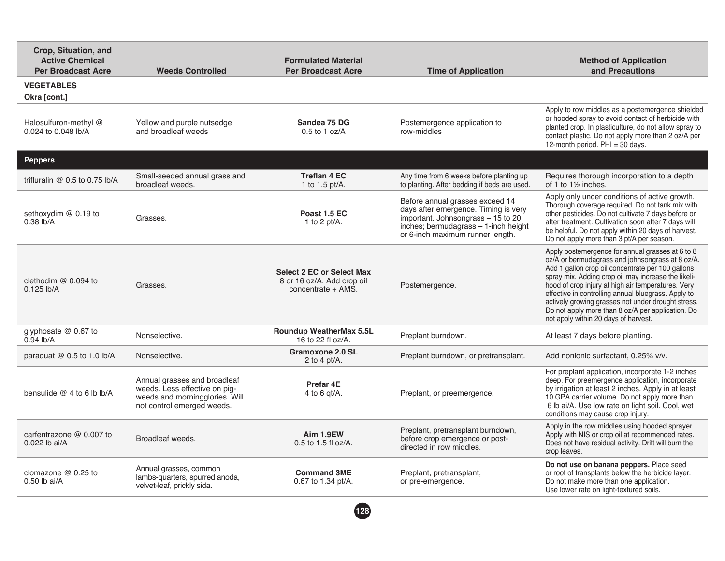| Crop, Situation, and<br><b>Active Chemical</b><br><b>Per Broadcast Acre</b> | <b>Weeds Controlled</b>                                                                                                       | <b>Formulated Material</b><br><b>Per Broadcast Acre</b>                              | <b>Time of Application</b>                                                                                                                                                                 | <b>Method of Application</b><br>and Precautions                                                                                                                                                                                                                                                                                                                                                                                                                                  |
|-----------------------------------------------------------------------------|-------------------------------------------------------------------------------------------------------------------------------|--------------------------------------------------------------------------------------|--------------------------------------------------------------------------------------------------------------------------------------------------------------------------------------------|----------------------------------------------------------------------------------------------------------------------------------------------------------------------------------------------------------------------------------------------------------------------------------------------------------------------------------------------------------------------------------------------------------------------------------------------------------------------------------|
| <b>VEGETABLES</b><br>Okra [cont.]                                           |                                                                                                                               |                                                                                      |                                                                                                                                                                                            |                                                                                                                                                                                                                                                                                                                                                                                                                                                                                  |
| Halosulfuron-methyl @<br>0.024 to 0.048 lb/A                                | Yellow and purple nutsedge<br>and broadleaf weeds                                                                             | Sandea 75 DG<br>$0.5$ to 1 oz/A                                                      | Postemergence application to<br>row-middles                                                                                                                                                | Apply to row middles as a postemergence shielded<br>or hooded spray to avoid contact of herbicide with<br>planted crop. In plasticulture, do not allow spray to<br>contact plastic. Do not apply more than 2 oz/A per<br>12-month period. PHI = 30 days.                                                                                                                                                                                                                         |
| <b>Peppers</b>                                                              |                                                                                                                               |                                                                                      |                                                                                                                                                                                            |                                                                                                                                                                                                                                                                                                                                                                                                                                                                                  |
| trifluralin $@$ 0.5 to 0.75 lb/A                                            | Small-seeded annual grass and<br>broadleaf weeds.                                                                             | <b>Treflan 4 EC</b><br>1 to 1.5 pt/A.                                                | Any time from 6 weeks before planting up<br>to planting. After bedding if beds are used.                                                                                                   | Requires thorough incorporation to a depth<br>of 1 to 11/2 inches.                                                                                                                                                                                                                                                                                                                                                                                                               |
| sethoxydim @ 0.19 to<br>$0.38$ lb/A                                         | Grasses.                                                                                                                      | Poast 1.5 EC<br>1 to 2 pt/ $A$ .                                                     | Before annual grasses exceed 14<br>days after emergence. Timing is very<br>important. Johnsongrass $-15$ to 20<br>inches; bermudagrass - 1-inch height<br>or 6-inch maximum runner length. | Apply only under conditions of active growth.<br>Thorough coverage required. Do not tank mix with<br>other pesticides. Do not cultivate 7 days before or<br>after treatment. Cultivation soon after 7 days will<br>be helpful. Do not apply within 20 days of harvest.<br>Do not apply more than 3 pt/A per season.                                                                                                                                                              |
| clethodim $@$ 0.094 to<br>$0.125$ lb/A                                      | Grasses.                                                                                                                      | <b>Select 2 EC or Select Max</b><br>8 or 16 oz/A. Add crop oil<br>concentrate + AMS. | Postemergence.                                                                                                                                                                             | Apply postemergence for annual grasses at 6 to 8<br>oz/A or bermudagrass and johnsongrass at 8 oz/A.<br>Add 1 gallon crop oil concentrate per 100 gallons<br>spray mix. Adding crop oil may increase the likeli-<br>hood of crop injury at high air temperatures. Very<br>effective in controlling annual bluegrass. Apply to<br>actively growing grasses not under drought stress.<br>Do not apply more than 8 oz/A per application. Do<br>not apply within 20 days of harvest. |
| glyphosate @ 0.67 to<br>$0.94$ lb/A                                         | Nonselective.                                                                                                                 | <b>Roundup WeatherMax 5.5L</b><br>16 to 22 fl oz/A.                                  | Preplant burndown.                                                                                                                                                                         | At least 7 days before planting.                                                                                                                                                                                                                                                                                                                                                                                                                                                 |
| paraquat $@0.5$ to 1.0 lb/A                                                 | Nonselective.                                                                                                                 | Gramoxone 2.0 SL<br>2 to 4 pt/ $A$ .                                                 | Preplant burndown, or pretransplant.                                                                                                                                                       | Add nonionic surfactant, 0.25% v/v.                                                                                                                                                                                                                                                                                                                                                                                                                                              |
| bensulide $@4$ to 6 lb lb/A                                                 | Annual grasses and broadleaf<br>weeds. Less effective on pig-<br>weeds and morningglories. Will<br>not control emerged weeds. | Prefar 4E<br>4 to 6 gt/A.                                                            | Preplant, or preemergence.                                                                                                                                                                 | For preplant application, incorporate 1-2 inches<br>deep. For preemergence application, incorporate<br>by irrigation at least 2 inches. Apply in at least<br>10 GPA carrier volume. Do not apply more than<br>6 lb ai/A. Use low rate on light soil. Cool, wet<br>conditions may cause crop injury.                                                                                                                                                                              |
| carfentrazone $@$ 0.007 to<br>0.022 lb ai/A                                 | Broadleaf weeds.                                                                                                              | Aim 1.9EW<br>0.5 to 1.5 fl oz/A.                                                     | Preplant, pretransplant burndown,<br>before crop emergence or post-<br>directed in row middles.                                                                                            | Apply in the row middles using hooded sprayer.<br>Apply with NIS or crop oil at recommended rates.<br>Does not have residual activity. Drift will burn the<br>crop leaves.                                                                                                                                                                                                                                                                                                       |
| clomazone @ 0.25 to<br>$0.50$ lb ai/A                                       | Annual grasses, common<br>lambs-quarters, spurred anoda,<br>velvet-leaf, prickly sida.                                        | <b>Command 3ME</b><br>0.67 to 1.34 pt/A.                                             | Preplant, pretransplant,<br>or pre-emergence.                                                                                                                                              | Do not use on banana peppers. Place seed<br>or root of transplants below the herbicide layer.<br>Do not make more than one application.<br>Use lower rate on light-textured soils.                                                                                                                                                                                                                                                                                               |
|                                                                             |                                                                                                                               |                                                                                      |                                                                                                                                                                                            |                                                                                                                                                                                                                                                                                                                                                                                                                                                                                  |

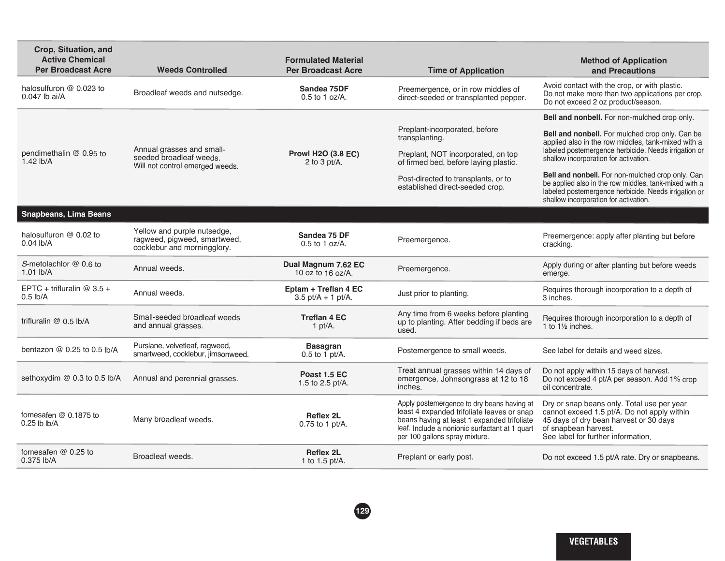| Crop, Situation, and<br><b>Active Chemical</b><br><b>Per Broadcast Acre</b> | <b>Weeds Controlled</b>                                                                    | <b>Formulated Material</b><br><b>Per Broadcast Acre</b> | <b>Time of Application</b>                                                                                                                                                                                                  | <b>Method of Application</b><br>and Precautions                                                                                                                                                            |
|-----------------------------------------------------------------------------|--------------------------------------------------------------------------------------------|---------------------------------------------------------|-----------------------------------------------------------------------------------------------------------------------------------------------------------------------------------------------------------------------------|------------------------------------------------------------------------------------------------------------------------------------------------------------------------------------------------------------|
| halosulfuron @ 0.023 to<br>0.047 lb ai/A                                    | Broadleaf weeds and nutsedge.                                                              | Sandea 75DF<br>$0.5$ to 1 oz/A.                         | Preemergence, or in row middles of<br>direct-seeded or transplanted pepper.                                                                                                                                                 | Avoid contact with the crop, or with plastic.<br>Do not make more than two applications per crop.<br>Do not exceed 2 oz product/season.                                                                    |
|                                                                             |                                                                                            |                                                         |                                                                                                                                                                                                                             | Bell and nonbell. For non-mulched crop only.                                                                                                                                                               |
|                                                                             | Annual grasses and small-                                                                  |                                                         | Preplant-incorporated, before<br>transplanting.                                                                                                                                                                             | Bell and nonbell. For mulched crop only. Can be<br>applied also in the row middles, tank-mixed with a<br>labeled postemergence herbicide. Needs irrigation or                                              |
| pendimethalin @ 0.95 to<br>1.42 $lb/A$                                      | seeded broadleaf weeds.<br>Will not control emerged weeds.                                 | <b>Prowl H2O (3.8 EC)</b><br>2 to 3 pt/A.               | Preplant, NOT incorporated, on top<br>of firmed bed, before laying plastic.                                                                                                                                                 | shallow incorporation for activation.                                                                                                                                                                      |
|                                                                             |                                                                                            |                                                         | Post-directed to transplants, or to<br>established direct-seeded crop.                                                                                                                                                      | Bell and nonbell. For non-mulched crop only. Can<br>be applied also in the row middles, tank-mixed with a<br>labeled postemergence herbicide. Needs irrigation or<br>shallow incorporation for activation. |
| <b>Snapbeans, Lima Beans</b>                                                |                                                                                            |                                                         |                                                                                                                                                                                                                             |                                                                                                                                                                                                            |
| halosulfuron $@$ 0.02 to<br>$0.04$ lb/A                                     | Yellow and purple nutsedge,<br>ragweed, pigweed, smartweed,<br>cocklebur and morningglory. | Sandea 75 DF<br>$0.5$ to 1 oz/A.                        | Preemergence.                                                                                                                                                                                                               | Preemergence: apply after planting but before<br>cracking.                                                                                                                                                 |
| S-metolachlor @ 0.6 to<br>$1.01$ lb/A                                       | Annual weeds.                                                                              | Dual Magnum 7.62 EC<br>10 oz to 16 oz/A.                | Preemergence.                                                                                                                                                                                                               | Apply during or after planting but before weeds<br>emerge.                                                                                                                                                 |
| EPTC + trifluralin @ $3.5 +$<br>$0.5$ lb/A                                  | Annual weeds.                                                                              | Eptam + Treflan 4 EC<br>$3.5$ pt/A + 1 pt/A.            | Just prior to planting.                                                                                                                                                                                                     | Requires thorough incorporation to a depth of<br>3 inches.                                                                                                                                                 |
| trifluralin @ 0.5 lb/A                                                      | Small-seeded broadleaf weeds<br>and annual grasses.                                        | <b>Treflan 4 EC</b><br>1 pt/ $A$ .                      | Any time from 6 weeks before planting<br>up to planting. After bedding if beds are<br>used.                                                                                                                                 | Requires thorough incorporation to a depth of<br>1 to $1\frac{1}{2}$ inches.                                                                                                                               |
| bentazon @ 0.25 to 0.5 lb/A                                                 | Purslane, velvetleaf, ragweed,<br>smartweed, cocklebur, jimsonweed.                        | <b>Basagran</b><br>$0.5$ to 1 pt/A.                     | Postemergence to small weeds.                                                                                                                                                                                               | See label for details and weed sizes.                                                                                                                                                                      |
| sethoxydim @ 0.3 to 0.5 lb/A                                                | Annual and perennial grasses.                                                              | Poast 1.5 EC<br>1.5 to 2.5 pt/A.                        | Treat annual grasses within 14 days of<br>emergence. Johnsongrass at 12 to 18<br>inches.                                                                                                                                    | Do not apply within 15 days of harvest.<br>Do not exceed 4 pt/A per season. Add 1% crop<br>oil concentrate.                                                                                                |
| fomesafen @ 0.1875 to<br>$0.25$ lb lb/A                                     | Many broadleaf weeds.                                                                      | <b>Reflex 2L</b><br>0.75 to 1 pt/A.                     | Apply postemergence to dry beans having at<br>least 4 expanded trifoliate leaves or snap<br>beans having at least 1 expanded trifoliate<br>leaf. Include a nonionic surfactant at 1 quart<br>per 100 gallons spray mixture. | Dry or snap beans only. Total use per year<br>cannot exceed 1.5 pt/A. Do not apply within<br>45 days of dry bean harvest or 30 days<br>of snapbean harvest.<br>See label for further information.          |
| fomesafen $@0.25$ to<br>0.375 lb/A                                          | Broadleaf weeds.                                                                           | <b>Reflex 2L</b><br>1 to 1.5 $pt/A$ .                   | Preplant or early post.                                                                                                                                                                                                     | Do not exceed 1.5 pt/A rate. Dry or snapbeans.                                                                                                                                                             |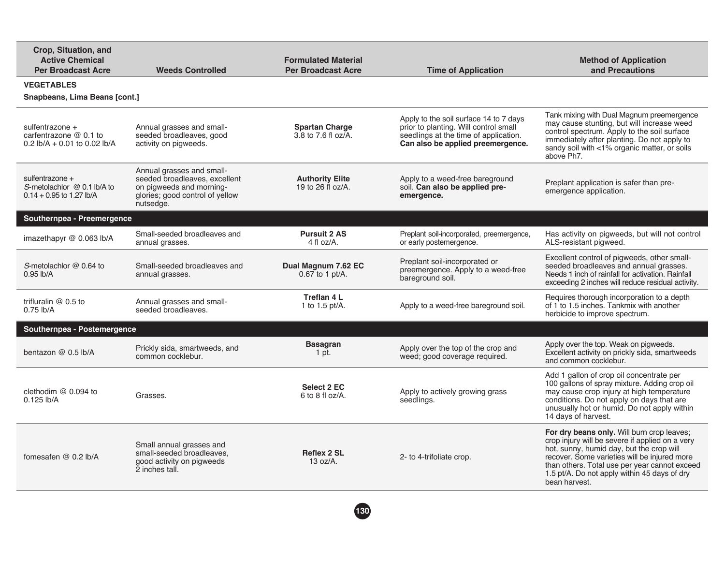| Crop, Situation, and<br><b>Active Chemical</b><br><b>Per Broadcast Acre</b>    | <b>Weeds Controlled</b>                                                                                                                | <b>Formulated Material</b><br><b>Per Broadcast Acre</b> | <b>Time of Application</b>                                                                                                                                    | <b>Method of Application</b><br>and Precautions                                                                                                                                                                                                                                                             |
|--------------------------------------------------------------------------------|----------------------------------------------------------------------------------------------------------------------------------------|---------------------------------------------------------|---------------------------------------------------------------------------------------------------------------------------------------------------------------|-------------------------------------------------------------------------------------------------------------------------------------------------------------------------------------------------------------------------------------------------------------------------------------------------------------|
| <b>VEGETABLES</b>                                                              |                                                                                                                                        |                                                         |                                                                                                                                                               |                                                                                                                                                                                                                                                                                                             |
| Snapbeans, Lima Beans [cont.]                                                  |                                                                                                                                        |                                                         |                                                                                                                                                               |                                                                                                                                                                                                                                                                                                             |
| sulfentrazone +<br>carfentrazone $@$ 0.1 to<br>0.2 lb/A + 0.01 to 0.02 lb/A    | Annual grasses and small-<br>seeded broadleaves, good<br>activity on pigweeds.                                                         | <b>Spartan Charge</b><br>3.8 to 7.6 fl oz/A.            | Apply to the soil surface 14 to 7 days<br>prior to planting. Will control small<br>seedlings at the time of application.<br>Can also be applied preemergence. | Tank mixing with Dual Magnum preemergence<br>may cause stunting, but will increase weed<br>control spectrum. Apply to the soil surface<br>immediately after planting. Do not apply to<br>sandy soil with <1% organic matter, or soils<br>above Ph7.                                                         |
| sulfentrazone +<br>S-metolachlor $@$ 0.1 lb/A to<br>$0.14 + 0.95$ to 1.27 lb/A | Annual grasses and small-<br>seeded broadleaves, excellent<br>on pigweeds and morning-<br>glories; good control of yellow<br>nutsedge. | <b>Authority Elite</b><br>19 to 26 fl oz/A.             | Apply to a weed-free bareground<br>soil. Can also be applied pre-<br>emergence.                                                                               | Preplant application is safer than pre-<br>emergence application.                                                                                                                                                                                                                                           |
| Southernpea - Preemergence                                                     |                                                                                                                                        |                                                         |                                                                                                                                                               |                                                                                                                                                                                                                                                                                                             |
| imazethapyr @ 0.063 lb/A                                                       | Small-seeded broadleaves and<br>annual grasses.                                                                                        | <b>Pursuit 2 AS</b><br>4 fl $oz/A$ .                    | Preplant soil-incorporated, preemergence,<br>or early postemergence.                                                                                          | Has activity on pigweeds, but will not control<br>ALS-resistant pigweed.                                                                                                                                                                                                                                    |
| S-metolachlor @ 0.64 to<br>$0.95$ lb/A                                         | Small-seeded broadleaves and<br>annual grasses.                                                                                        | Dual Magnum 7.62 EC<br>$0.67$ to 1 pt/A.                | Preplant soil-incorporated or<br>preemergence. Apply to a weed-free<br>bareground soil.                                                                       | Excellent control of pigweeds, other small-<br>seeded broadleaves and annual grasses.<br>Needs 1 inch of rainfall for activation. Rainfall<br>exceeding 2 inches will reduce residual activity.                                                                                                             |
| trifluralin $@$ 0.5 to<br>$0.75$ lb/A                                          | Annual grasses and small-<br>seeded broadleaves.                                                                                       | Treflan 4 L<br>1 to 1.5 pt/ $A$ .                       | Apply to a weed-free bareground soil.                                                                                                                         | Requires thorough incorporation to a depth<br>of 1 to 1.5 inches. Tankmix with another<br>herbicide to improve spectrum.                                                                                                                                                                                    |
| Southernpea - Postemergence                                                    |                                                                                                                                        |                                                         |                                                                                                                                                               |                                                                                                                                                                                                                                                                                                             |
| bentazon $@$ 0.5 lb/A                                                          | Prickly sida, smartweeds, and<br>common cocklebur.                                                                                     | <b>Basagran</b><br>1 pt.                                | Apply over the top of the crop and<br>weed; good coverage required.                                                                                           | Apply over the top. Weak on pigweeds.<br>Excellent activity on prickly sida, smartweeds<br>and common cocklebur.                                                                                                                                                                                            |
| clethodim $@$ 0.094 to<br>$0.125$ lb/A                                         | Grasses.                                                                                                                               | <b>Select 2 EC</b><br>$6$ to $8$ fl oz/A.               | Apply to actively growing grass<br>seedlings.                                                                                                                 | Add 1 gallon of crop oil concentrate per<br>100 gallons of spray mixture. Adding crop oil<br>may cause crop injury at high temperature<br>conditions. Do not apply on days that are<br>unusually hot or humid. Do not apply within<br>14 days of harvest.                                                   |
| fomesafen $@$ 0.2 lb/A                                                         | Small annual grasses and<br>small-seeded broadleaves,<br>good activity on pigweeds<br>2 inches tall.                                   | <b>Reflex 2 SL</b><br>$13 oz/A$ .                       | 2- to 4-trifoliate crop.                                                                                                                                      | For dry beans only. Will burn crop leaves:<br>crop injury will be severe if applied on a very<br>hot, sunny, humid day, but the crop will<br>recover. Some varieties will be injured more<br>than others. Total use per year cannot exceed<br>1.5 pt/A. Do not apply within 45 days of dry<br>bean harvest. |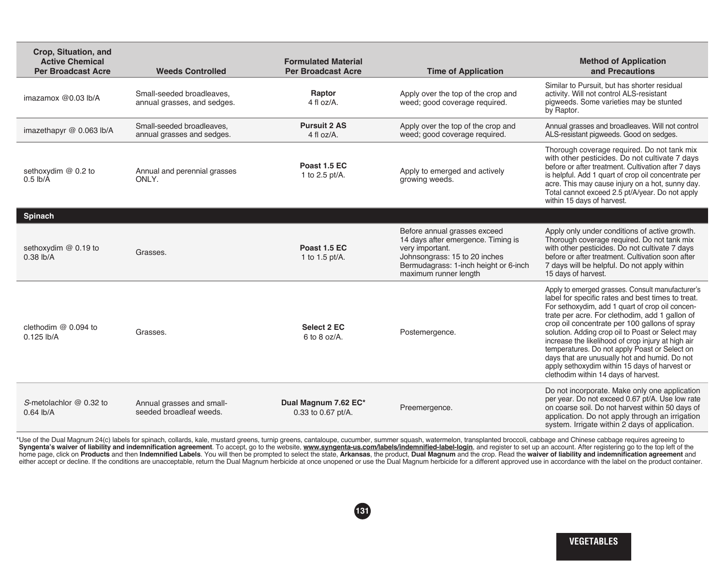| Crop, Situation, and<br><b>Active Chemical</b><br><b>Per Broadcast Acre</b> | <b>Weeds Controlled</b>                                  | <b>Formulated Material</b><br><b>Per Broadcast Acre</b> | <b>Time of Application</b>                                                                                                                                                               | <b>Method of Application</b><br>and Precautions                                                                                                                                                                                                                                                                                                                                                                                                                                                                                                                  |
|-----------------------------------------------------------------------------|----------------------------------------------------------|---------------------------------------------------------|------------------------------------------------------------------------------------------------------------------------------------------------------------------------------------------|------------------------------------------------------------------------------------------------------------------------------------------------------------------------------------------------------------------------------------------------------------------------------------------------------------------------------------------------------------------------------------------------------------------------------------------------------------------------------------------------------------------------------------------------------------------|
| imazamox $@0.03$ lb/A                                                       | Small-seeded broadleaves.<br>annual grasses, and sedges. | Raptor<br>4 fl $oz/A$ .                                 | Apply over the top of the crop and<br>weed; good coverage required.                                                                                                                      | Similar to Pursuit, but has shorter residual<br>activity. Will not control ALS-resistant<br>piqweeds. Some varieties may be stunted<br>by Raptor.                                                                                                                                                                                                                                                                                                                                                                                                                |
| imazethapyr @ 0.063 lb/A                                                    | Small-seeded broadleaves,<br>annual grasses and sedges.  | <b>Pursuit 2 AS</b><br>4 fl $oz/A$ .                    | Apply over the top of the crop and<br>weed; good coverage required.                                                                                                                      | Annual grasses and broadleaves. Will not control<br>ALS-resistant pigweeds. Good on sedges.                                                                                                                                                                                                                                                                                                                                                                                                                                                                      |
| sethoxydim @ 0.2 to<br>$0.5$ lb/A                                           | Annual and perennial grasses<br>ONLY.                    | Poast 1.5 EC<br>1 to 2.5 pt/A.                          | Apply to emerged and actively<br>growing weeds.                                                                                                                                          | Thorough coverage required. Do not tank mix<br>with other pesticides. Do not cultivate 7 days<br>before or after treatment. Cultivation after 7 days<br>is helpful. Add 1 quart of crop oil concentrate per<br>acre. This may cause injury on a hot, sunny day.<br>Total cannot exceed 2.5 pt/A/year. Do not apply<br>within 15 days of harvest.                                                                                                                                                                                                                 |
| Spinach                                                                     |                                                          |                                                         |                                                                                                                                                                                          |                                                                                                                                                                                                                                                                                                                                                                                                                                                                                                                                                                  |
| sethoxydim @ 0.19 to<br>$0.38$ lb/A                                         | Grasses.                                                 | Poast 1.5 EC<br>1 to 1.5 pt/A.                          | Before annual grasses exceed<br>14 days after emergence. Timing is<br>very important.<br>Johnsongrass: 15 to 20 inches<br>Bermudagrass: 1-inch height or 6-inch<br>maximum runner length | Apply only under conditions of active growth.<br>Thorough coverage required. Do not tank mix<br>with other pesticides. Do not cultivate 7 days<br>before or after treatment. Cultivation soon after<br>7 days will be helpful. Do not apply within<br>15 days of harvest.                                                                                                                                                                                                                                                                                        |
| clethodim @ 0.094 to<br>$0.125$ lb/A                                        | Grasses.                                                 | Select 2 EC<br>$6$ to $8$ oz/A.                         | Postemergence.                                                                                                                                                                           | Apply to emerged grasses. Consult manufacturer's<br>label for specific rates and best times to treat.<br>For sethoxydim, add 1 quart of crop oil concen-<br>trate per acre. For clethodim, add 1 gallon of<br>crop oil concentrate per 100 gallons of spray<br>solution. Adding crop oil to Poast or Select may<br>increase the likelihood of crop injury at high air<br>temperatures. Do not apply Poast or Select on<br>days that are unusually hot and humid. Do not<br>apply sethoxydim within 15 days of harvest or<br>clethodim within 14 days of harvest. |
| S-metolachlor @ 0.32 to<br>$0.64$ lb/A                                      | Annual grasses and small-<br>seeded broadleaf weeds.     | Dual Magnum 7.62 EC*<br>0.33 to 0.67 pt/A.              | Preemergence.                                                                                                                                                                            | Do not incorporate. Make only one application<br>per year. Do not exceed 0.67 pt/A. Use low rate<br>on coarse soil. Do not harvest within 50 days of<br>application. Do not apply through an irrigation<br>system. Irrigate within 2 days of application.                                                                                                                                                                                                                                                                                                        |

\* Use of the Dual Magnum 24(c) labels for spinach, collards, kale, mustard greens, turnip greens, cantaloupe, cucumber, summer squash, watermelon, transplanted broccoli, cabbage and Chinese cabbage requires agreeing to Syngenta's waiver of liability and indemnification agreement. To accept, go to the website, www.syngenta-us.com/labels/indemnified-label-login, and register to set up an account. After registering go to the top left of the home page, click on Products and then Indemnified Labels. You will then be prompted to select the state, Arkansas, the product, Dual Magnum and the crop. Read the waiver of liability and indemnification agreement and either accept or decline. If the conditions are unacceptable, return the Dual Magnum herbicide at once unopened or use the Dual Magnum herbicide for a different approved use in accordance with the label on the product cont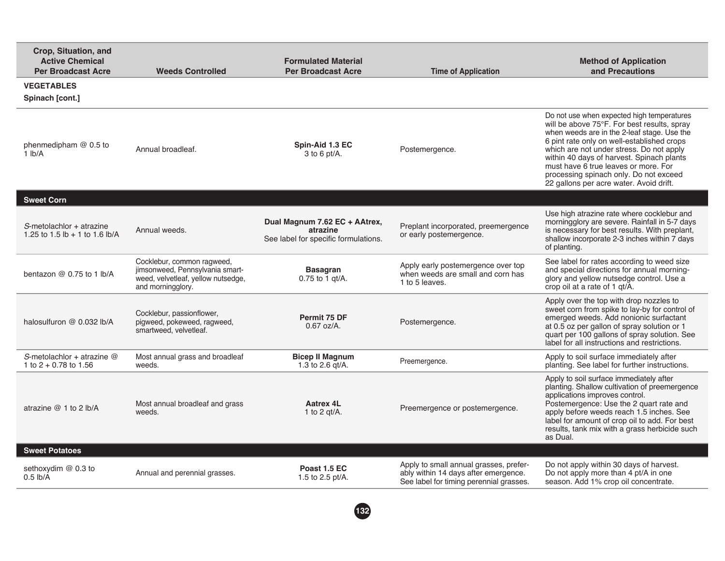| Crop, Situation, and<br><b>Active Chemical</b><br><b>Per Broadcast Acre</b> | <b>Weeds Controlled</b>                                                                                                  | <b>Formulated Material</b><br><b>Per Broadcast Acre</b>                           | <b>Time of Application</b>                                                                                                | <b>Method of Application</b><br>and Precautions                                                                                                                                                                                                                                                                                                                                                              |
|-----------------------------------------------------------------------------|--------------------------------------------------------------------------------------------------------------------------|-----------------------------------------------------------------------------------|---------------------------------------------------------------------------------------------------------------------------|--------------------------------------------------------------------------------------------------------------------------------------------------------------------------------------------------------------------------------------------------------------------------------------------------------------------------------------------------------------------------------------------------------------|
| <b>VEGETABLES</b><br>Spinach [cont.]                                        |                                                                                                                          |                                                                                   |                                                                                                                           |                                                                                                                                                                                                                                                                                                                                                                                                              |
| phenmedipham $@$ 0.5 to<br>1 lb/A                                           | Annual broadleaf.                                                                                                        | Spin-Aid 1.3 EC<br>$3$ to 6 pt/A.                                                 | Postemergence.                                                                                                            | Do not use when expected high temperatures<br>will be above 75°F. For best results, spray<br>when weeds are in the 2-leaf stage. Use the<br>6 pint rate only on well-established crops<br>which are not under stress. Do not apply<br>within 40 days of harvest. Spinach plants<br>must have 6 true leaves or more. For<br>processing spinach only. Do not exceed<br>22 gallons per acre water. Avoid drift. |
| <b>Sweet Corn</b>                                                           |                                                                                                                          |                                                                                   |                                                                                                                           |                                                                                                                                                                                                                                                                                                                                                                                                              |
| $S$ -metolachlor + atrazine<br>1.25 to 1.5 $lb + 1$ to 1.6 $lb/A$           | Annual weeds.                                                                                                            | Dual Magnum 7.62 EC + AAtrex,<br>atrazine<br>See label for specific formulations. | Preplant incorporated, preemergence<br>or early postemergence.                                                            | Use high atrazine rate where cocklebur and<br>morningglory are severe. Rainfall in 5-7 days<br>is necessary for best results. With preplant,<br>shallow incorporate 2-3 inches within 7 days<br>of planting.                                                                                                                                                                                                 |
| bentazon $@$ 0.75 to 1 lb/A                                                 | Cocklebur, common ragweed,<br>jimsonweed, Pennsylvania smart-<br>weed, velvetleaf, yellow nutsedge,<br>and morningglory. | <b>Basagran</b><br>$0.75$ to 1 gt/A.                                              | Apply early postemergence over top<br>when weeds are small and corn has<br>1 to 5 leaves.                                 | See label for rates according to weed size<br>and special directions for annual morning-<br>glory and yellow nutsedge control. Use a<br>crop oil at a rate of 1 qt/A.                                                                                                                                                                                                                                        |
| halosulfuron @ 0.032 lb/A                                                   | Cocklebur, passionflower,<br>pigweed, pokeweed, ragweed,<br>smartweed, velvetleaf.                                       | Permit 75 DF<br>$0.67$ oz/A.                                                      | Postemergence.                                                                                                            | Apply over the top with drop nozzles to<br>sweet corn from spike to lay-by for control of<br>emerged weeds. Add nonionic surfactant<br>at 0.5 oz per gallon of spray solution or 1<br>quart per 100 gallons of spray solution. See<br>label for all instructions and restrictions.                                                                                                                           |
| S-metolachlor + atrazine $@$<br>1 to $2 + 0.78$ to 1.56                     | Most annual grass and broadleaf<br>weeds.                                                                                | <b>Bicep II Magnum</b><br>1.3 to 2.6 $gt/A$ .                                     | Preemergence.                                                                                                             | Apply to soil surface immediately after<br>planting. See label for further instructions.                                                                                                                                                                                                                                                                                                                     |
| atrazine $@1$ to 2 lb/A                                                     | Most annual broadleaf and grass<br>weeds.                                                                                | <b>Aatrex 4L</b><br>1 to 2 gt/A.                                                  | Preemergence or postemergence.                                                                                            | Apply to soil surface immediately after<br>planting. Shallow cultivation of preemergence<br>applications improves control.<br>Postemergence: Use the 2 quart rate and<br>apply before weeds reach 1.5 inches. See<br>label for amount of crop oil to add. For best<br>results, tank mix with a grass herbicide such<br>as Dual.                                                                              |
| <b>Sweet Potatoes</b>                                                       |                                                                                                                          |                                                                                   |                                                                                                                           |                                                                                                                                                                                                                                                                                                                                                                                                              |
| sethoxydim @ 0.3 to<br>$0.5$ lb/A                                           | Annual and perennial grasses.                                                                                            | Poast 1.5 EC<br>1.5 to 2.5 pt/A.                                                  | Apply to small annual grasses, prefer-<br>ably within 14 days after emergence.<br>See label for timing perennial grasses. | Do not apply within 30 days of harvest.<br>Do not apply more than 4 pt/A in one<br>season. Add 1% crop oil concentrate.                                                                                                                                                                                                                                                                                      |
|                                                                             |                                                                                                                          |                                                                                   |                                                                                                                           |                                                                                                                                                                                                                                                                                                                                                                                                              |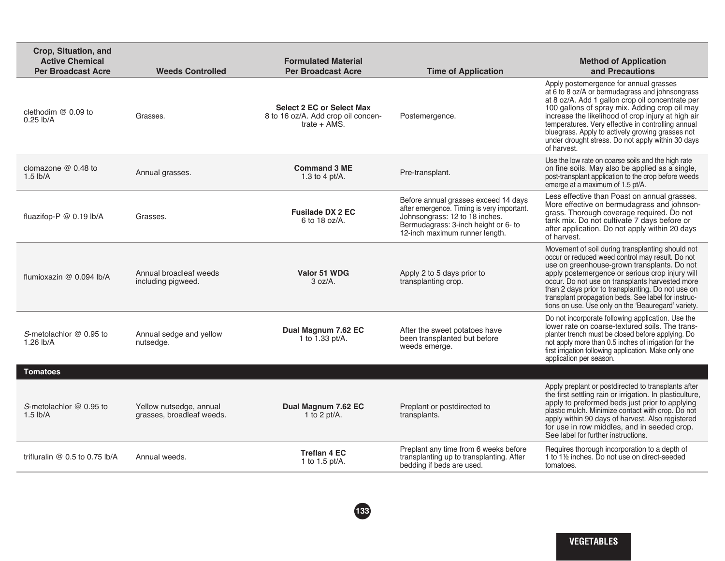| Crop, Situation, and<br><b>Active Chemical</b><br><b>Per Broadcast Acre</b> | <b>Weeds Controlled</b>                              | <b>Formulated Material</b><br><b>Per Broadcast Acre</b>                                  | <b>Time of Application</b>                                                                                                                                                                     | <b>Method of Application</b><br>and Precautions                                                                                                                                                                                                                                                                                                                                                                                    |
|-----------------------------------------------------------------------------|------------------------------------------------------|------------------------------------------------------------------------------------------|------------------------------------------------------------------------------------------------------------------------------------------------------------------------------------------------|------------------------------------------------------------------------------------------------------------------------------------------------------------------------------------------------------------------------------------------------------------------------------------------------------------------------------------------------------------------------------------------------------------------------------------|
| clethodim @ 0.09 to<br>$0.25$ lb/A                                          | Grasses.                                             | <b>Select 2 EC or Select Max</b><br>8 to 16 oz/A. Add crop oil concen-<br>trate $+$ AMS. | Postemergence.                                                                                                                                                                                 | Apply postemergence for annual grasses<br>at 6 to 8 oz/A or bermudagrass and johnsongrass<br>at 8 oz/A. Add 1 gallon crop oil concentrate per<br>100 gallons of spray mix. Adding crop oil may<br>increase the likelihood of crop injury at high air<br>temperatures. Very effective in controlling annual<br>bluegrass. Apply to actively growing grasses not<br>under drought stress. Do not apply within 30 days<br>of harvest. |
| clomazone $@$ 0.48 to<br>$1.5$ lb/A                                         | Annual grasses.                                      | <b>Command 3 ME</b><br>1.3 to 4 pt/ $A$ .                                                | Pre-transplant.                                                                                                                                                                                | Use the low rate on coarse soils and the high rate<br>on fine soils. May also be applied as a single,<br>post-transplant application to the crop before weeds<br>emerge at a maximum of 1.5 pt/A.                                                                                                                                                                                                                                  |
| fluazifop-P @ 0.19 lb/A                                                     | Grasses.                                             | <b>Fusilade DX 2 EC</b><br>6 to 18 oz/A.                                                 | Before annual grasses exceed 14 days<br>after emergence. Timing is very important.<br>Johnsongrass: 12 to 18 inches.<br>Bermudagrass: 3-inch height or 6- to<br>12-inch maximum runner length. | Less effective than Poast on annual grasses.<br>More effective on bermudagrass and johnson-<br>grass. Thorough coverage required. Do not<br>tank mix. Do not cultivate 7 days before or<br>after application. Do not apply within 20 days<br>of harvest.                                                                                                                                                                           |
| flumioxazin @ 0.094 lb/A                                                    | Annual broadleaf weeds<br>including pigweed.         | Valor 51 WDG<br>3 oz/A.                                                                  | Apply 2 to 5 days prior to<br>transplanting crop.                                                                                                                                              | Movement of soil during transplanting should not<br>occur or reduced weed control may result. Do not<br>use on greenhouse-grown transplants. Do not<br>apply postemergence or serious crop injury will<br>occur. Do not use on transplants harvested more<br>than 2 days prior to transplanting. Do not use on<br>transplant propagation beds. See label for instruc-<br>tions on use. Use only on the 'Beauregard' variety.       |
| S-metolachlor @ 0.95 to<br>1.26 lb/A                                        | Annual sedge and yellow<br>nutsedge.                 | Dual Magnum 7.62 EC<br>1 to 1.33 pt/A.                                                   | After the sweet potatoes have<br>been transplanted but before<br>weeds emerge.                                                                                                                 | Do not incorporate following application. Use the<br>lower rate on coarse-textured soils. The trans-<br>planter trench must be closed before applying. Do<br>not apply more than 0.5 inches of irrigation for the<br>first irrigation following application. Make only one<br>application per season.                                                                                                                              |
| <b>Tomatoes</b>                                                             |                                                      |                                                                                          |                                                                                                                                                                                                |                                                                                                                                                                                                                                                                                                                                                                                                                                    |
| S-metolachlor $@$ 0.95 to<br>$1.5$ lb/A                                     | Yellow nutsedge, annual<br>grasses, broadleaf weeds. | Dual Magnum 7.62 EC<br>1 to 2 pt/A.                                                      | Preplant or postdirected to<br>transplants.                                                                                                                                                    | Apply preplant or postdirected to transplants after<br>the first settling rain or irrigation. In plasticulture,<br>apply to preformed beds just prior to applying<br>plastic mulch. Minimize contact with crop. Do not<br>apply within 90 days of harvest. Also registered<br>for use in row middles, and in seeded crop.<br>See label for further instructions.                                                                   |
| trifluralin @ 0.5 to 0.75 lb/A                                              | Annual weeds.                                        | <b>Treflan 4 EC</b><br>1 to 1.5 pt/A.                                                    | Preplant any time from 6 weeks before<br>transplanting up to transplanting. After<br>bedding if beds are used.                                                                                 | Requires thorough incorporation to a depth of<br>1 to 11/2 inches. Do not use on direct-seeded<br>tomatoes.                                                                                                                                                                                                                                                                                                                        |
|                                                                             |                                                      |                                                                                          |                                                                                                                                                                                                |                                                                                                                                                                                                                                                                                                                                                                                                                                    |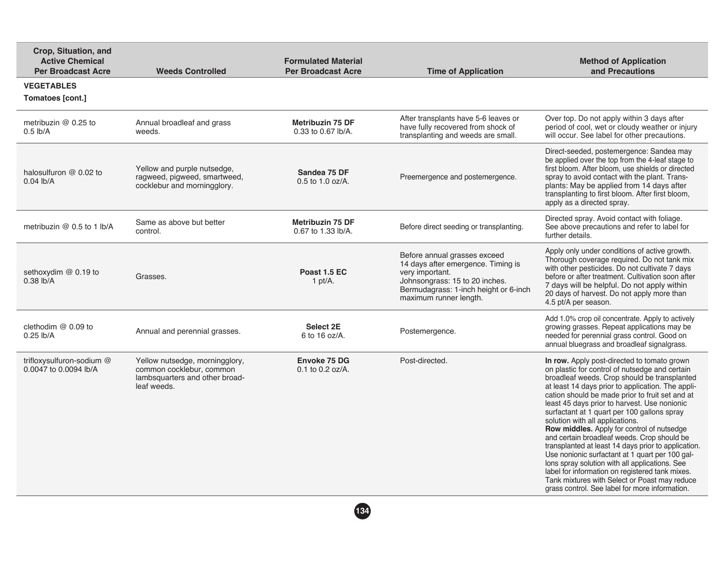| Crop, Situation, and<br><b>Active Chemical</b><br><b>Per Broadcast Acre</b> | <b>Weeds Controlled</b>                                                                                     | <b>Formulated Material</b><br><b>Per Broadcast Acre</b> | <b>Time of Application</b>                                                                                                                                                                 | <b>Method of Application</b><br>and Precautions                                                                                                                                                                                                                                                                                                                                                                                                                                                                                                                                                                                                                                                                                                                                                        |
|-----------------------------------------------------------------------------|-------------------------------------------------------------------------------------------------------------|---------------------------------------------------------|--------------------------------------------------------------------------------------------------------------------------------------------------------------------------------------------|--------------------------------------------------------------------------------------------------------------------------------------------------------------------------------------------------------------------------------------------------------------------------------------------------------------------------------------------------------------------------------------------------------------------------------------------------------------------------------------------------------------------------------------------------------------------------------------------------------------------------------------------------------------------------------------------------------------------------------------------------------------------------------------------------------|
| <b>VEGETABLES</b><br>Tomatoes [cont.]                                       |                                                                                                             |                                                         |                                                                                                                                                                                            |                                                                                                                                                                                                                                                                                                                                                                                                                                                                                                                                                                                                                                                                                                                                                                                                        |
| metribuzin @ 0.25 to<br>$0.5$ lb/A                                          | Annual broadleaf and grass<br>weeds.                                                                        | <b>Metribuzin 75 DF</b><br>0.33 to 0.67 lb/A.           | After transplants have 5-6 leaves or<br>have fully recovered from shock of<br>transplanting and weeds are small.                                                                           | Over top. Do not apply within 3 days after<br>period of cool, wet or cloudy weather or injury<br>will occur. See label for other precautions.                                                                                                                                                                                                                                                                                                                                                                                                                                                                                                                                                                                                                                                          |
| halosulfuron @ 0.02 to<br>$0.04$ lb/A                                       | Yellow and purple nutsedge,<br>ragweed, pigweed, smartweed,<br>cocklebur and morningglory.                  | Sandea 75 DF<br>$0.5$ to 1.0 oz/A.                      | Preemergence and postemergence.                                                                                                                                                            | Direct-seeded, postemergence: Sandea may<br>be applied over the top from the 4-leaf stage to<br>first bloom. After bloom, use shields or directed<br>spray to avoid contact with the plant. Trans-<br>plants: May be applied from 14 days after<br>transplanting to first bloom. After first bloom,<br>apply as a directed spray.                                                                                                                                                                                                                                                                                                                                                                                                                                                                      |
| metribuzin $@$ 0.5 to 1 lb/A                                                | Same as above but better<br>control.                                                                        | <b>Metribuzin 75 DF</b><br>0.67 to 1.33 lb/A.           | Before direct seeding or transplanting.                                                                                                                                                    | Directed spray. Avoid contact with foliage.<br>See above precautions and refer to label for<br>further details.                                                                                                                                                                                                                                                                                                                                                                                                                                                                                                                                                                                                                                                                                        |
| sethoxydim @ 0.19 to<br>$0.38$ lb/A                                         | Grasses.                                                                                                    | Poast 1.5 EC<br>1 pt/ $A$ .                             | Before annual grasses exceed<br>14 days after emergence. Timing is<br>very important.<br>Johnsongrass: 15 to 20 inches.<br>Bermudagrass: 1-inch height or 6-inch<br>maximum runner length. | Apply only under conditions of active growth.<br>Thorough coverage required. Do not tank mix<br>with other pesticides. Do not cultivate 7 days<br>before or after treatment. Cultivation soon after<br>7 days will be helpful. Do not apply within<br>20 days of harvest. Do not apply more than<br>4.5 pt/A per season.                                                                                                                                                                                                                                                                                                                                                                                                                                                                               |
| clethodim $@0.09$ to<br>$0.25$ lb/A                                         | Annual and perennial grasses.                                                                               | Select 2E<br>6 to 16 oz/A.                              | Postemergence.                                                                                                                                                                             | Add 1.0% crop oil concentrate. Apply to actively<br>growing grasses. Repeat applications may be<br>needed for perennial grass control. Good on<br>annual bluegrass and broadleaf signalgrass.                                                                                                                                                                                                                                                                                                                                                                                                                                                                                                                                                                                                          |
| trifloxysulfuron-sodium @<br>0.0047 to 0.0094 lb/A                          | Yellow nutsedge, morningglory,<br>common cocklebur, common<br>lambsquarters and other broad-<br>leaf weeds. | Envoke 75 DG<br>$0.1$ to $0.2$ oz/A.                    | Post-directed.                                                                                                                                                                             | In row. Apply post-directed to tomato grown<br>on plastic for control of nutsedge and certain<br>broadleaf weeds. Crop should be transplanted<br>at least 14 days prior to application. The appli-<br>cation should be made prior to fruit set and at<br>least 45 days prior to harvest. Use nonionic<br>surfactant at 1 quart per 100 gallons spray<br>solution with all applications.<br>Row middles. Apply for control of nutsedge<br>and certain broadleaf weeds. Crop should be<br>transplanted at least 14 days prior to application.<br>Use nonionic surfactant at 1 quart per 100 gal-<br>lons spray solution with all applications. See<br>label for information on registered tank mixes.<br>Tank mixtures with Select or Poast may reduce<br>grass control. See label for more information. |
|                                                                             |                                                                                                             | 134                                                     |                                                                                                                                                                                            |                                                                                                                                                                                                                                                                                                                                                                                                                                                                                                                                                                                                                                                                                                                                                                                                        |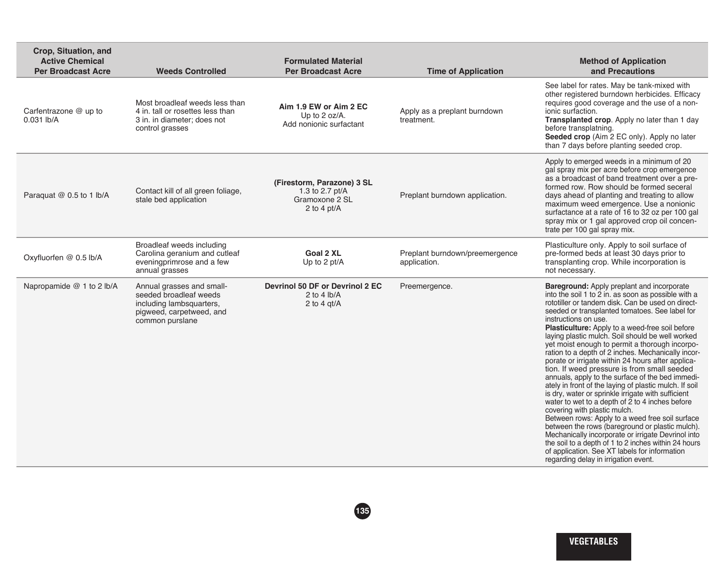| Crop, Situation, and<br><b>Active Chemical</b><br><b>Per Broadcast Acre</b> | <b>Weeds Controlled</b>                                                                                                        | <b>Formulated Material</b><br><b>Per Broadcast Acre</b>                          | <b>Time of Application</b>                     | <b>Method of Application</b><br>and Precautions                                                                                                                                                                                                                                                                                                                                                                                                                                                                                                                                                                                                                                                                                                                                                                                                                                                                                                                                                                                                                                                                         |
|-----------------------------------------------------------------------------|--------------------------------------------------------------------------------------------------------------------------------|----------------------------------------------------------------------------------|------------------------------------------------|-------------------------------------------------------------------------------------------------------------------------------------------------------------------------------------------------------------------------------------------------------------------------------------------------------------------------------------------------------------------------------------------------------------------------------------------------------------------------------------------------------------------------------------------------------------------------------------------------------------------------------------------------------------------------------------------------------------------------------------------------------------------------------------------------------------------------------------------------------------------------------------------------------------------------------------------------------------------------------------------------------------------------------------------------------------------------------------------------------------------------|
| Carfentrazone @ up to<br>$0.031$ lb/A                                       | Most broadleaf weeds less than<br>4 in, tall or rosettes less than<br>3 in. in diameter; does not<br>control grasses           | Aim 1.9 EW or Aim 2 EC<br>Up to 2 oz/A.<br>Add nonionic surfactant               | Apply as a preplant burndown<br>treatment.     | See label for rates. May be tank-mixed with<br>other registered burndown herbicides. Efficacy<br>requires good coverage and the use of a non-<br>ionic surfaction.<br>Transplanted crop. Apply no later than 1 day<br>before transplatning.<br>Seeded crop (Aim 2 EC only). Apply no later<br>than 7 days before planting seeded crop.                                                                                                                                                                                                                                                                                                                                                                                                                                                                                                                                                                                                                                                                                                                                                                                  |
| Paraquat @ 0.5 to 1 lb/A                                                    | Contact kill of all green foliage,<br>stale bed application                                                                    | (Firestorm, Parazone) 3 SL<br>1.3 to 2.7 pt/A<br>Gramoxone 2 SL<br>2 to 4 $pt/A$ | Preplant burndown application.                 | Apply to emerged weeds in a minimum of 20<br>gal spray mix per acre before crop emergence<br>as a broadcast of band treatment over a pre-<br>formed row. Row should be formed seceral<br>days ahead of planting and treating to allow<br>maximum weed emergence. Use a nonionic<br>surfactance at a rate of 16 to 32 oz per 100 gal<br>spray mix or 1 gal approved crop oil concen-<br>trate per 100 gal spray mix.                                                                                                                                                                                                                                                                                                                                                                                                                                                                                                                                                                                                                                                                                                     |
| Oxyfluorfen @ 0.5 lb/A                                                      | Broadleaf weeds including<br>Carolina geranium and cutleaf<br>eveningprimrose and a few<br>annual grasses                      | <b>Goal 2 XL</b><br>Up to 2 pt/A                                                 | Preplant burndown/preemergence<br>application. | Plasticulture only. Apply to soil surface of<br>pre-formed beds at least 30 days prior to<br>transplanting crop. While incorporation is<br>not necessary.                                                                                                                                                                                                                                                                                                                                                                                                                                                                                                                                                                                                                                                                                                                                                                                                                                                                                                                                                               |
| Napropamide @ 1 to 2 lb/A                                                   | Annual grasses and small-<br>seeded broadleaf weeds<br>including lambsquarters,<br>pigweed, carpetweed, and<br>common purslane | Devrinol 50 DF or Devrinol 2 EC<br>2 to 4 $lb/A$<br>2 to 4 $qt/A$                | Preemergence.                                  | Bareground: Apply preplant and incorporate<br>into the soil 1 to 2 in. as soon as possible with a<br>rototiller or tandem disk. Can be used on direct-<br>seeded or transplanted tomatoes. See label for<br>instructions on use.<br>Plasticulture: Apply to a weed-free soil before<br>laying plastic mulch. Soil should be well worked<br>yet moist enough to permit a thorough incorpo-<br>ration to a depth of 2 inches. Mechanically incor-<br>porate or irrigate within 24 hours after applica-<br>tion. If weed pressure is from small seeded<br>annuals, apply to the surface of the bed immedi-<br>ately in front of the laying of plastic mulch. If soil<br>is dry, water or sprinkle irrigate with sufficient<br>water to wet to a depth of 2 to 4 inches before<br>covering with plastic mulch.<br>Between rows: Apply to a weed free soil surface<br>between the rows (bareground or plastic mulch).<br>Mechanically incorporate or irrigate Devrinol into<br>the soil to a depth of 1 to 2 inches within 24 hours<br>of application. See XT labels for information<br>regarding delay in irrigation event. |